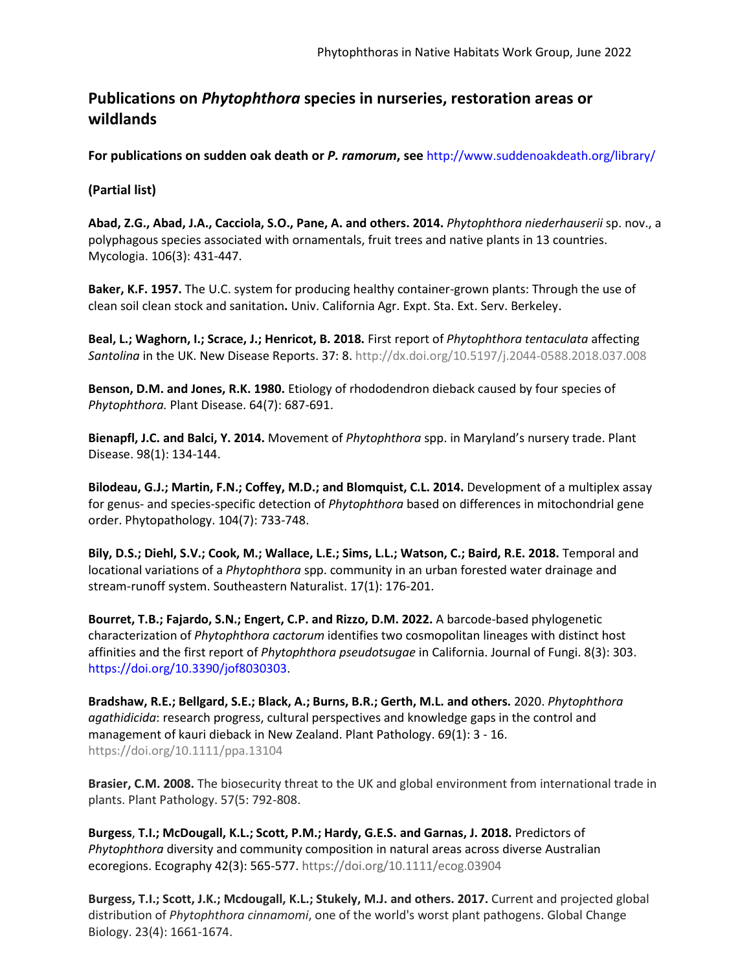## **Publications on** *Phytophthora* **species in nurseries, restoration areas or wildlands**

**For publications on sudden oak death or** *P. ramorum***, see** <http://www.suddenoakdeath.org/library/>

## **(Partial list)**

**Abad, Z.G., Abad, J.A., Cacciola, S.O., Pane, A. and others. 2014.** *Phytophthora niederhauserii* sp. nov., a polyphagous species associated with ornamentals, fruit trees and native plants in 13 countries. Mycologia. 106(3): 431-447.

**Baker, K.F. 1957.** The U.C. system for producing healthy container-grown plants: Through the use of clean soil clean stock and sanitation**.** Univ. California Agr. Expt. Sta. Ext. Serv. Berkeley.

**Beal, L.; Waghorn, I.; Scrace, J.; Henricot, B. 2018.** First report of *Phytophthora tentaculata* affecting *Santolina* in the UK. New Disease Reports. 37: 8.<http://dx.doi.org/10.5197/j.2044-0588.2018.037.008>

**Benson, D.M. and Jones, R.K. 1980.** Etiology of rhododendron dieback caused by four species of *Phytophthora.* Plant Disease. 64(7): 687-691.

**Bienapfl, J.C. and Balci, Y. 2014.** Movement of *Phytophthora* spp. in Maryland's nursery trade. Plant Disease. 98(1): 134-144.

**Bilodeau, G.J.; Martin, F.N.; Coffey, M.D.; and Blomquist, C.L. 2014.** Development of a multiplex assay for genus- and species-specific detection of *Phytophthora* based on differences in mitochondrial gene order. Phytopathology. 104(7): 733-748.

Bily, D.S.; Diehl, S.V.; Cook, M.; Wallace, L.E.; Sims, L.L.; Watson, C.; Baird, R.E. 2018. Temporal and locational variations of a *Phytophthora* spp. community in an urban forested water drainage and stream-runoff system. Southeastern Naturalist. 17(1): 176-201.

**Bourret, T.B.; Fajardo, S.N.; Engert, C.P. and Rizzo, D.M. 2022.** A barcode-based phylogenetic characterization of *Phytophthora cactorum* identifies two cosmopolitan lineages with distinct host affinities and the first report of *Phytophthora pseudotsugae* in California. Journal of Fungi. 8(3): 303. [https://doi.org/10.3390/jof8030303.](https://doi.org/10.3390/jof8030303)

**Bradshaw, R.E.; Bellgard, S.E.; Black, A.; Burns, B.R.; Gerth, M.L. and others.** 2020. *Phytophthora agathidicida*: research progress, cultural perspectives and knowledge gaps in the control and management of kauri dieback in New Zealand. Plant Pathology. 69(1): 3 - 16. https://doi.org/10.1111/ppa.13104

**Brasier, C.M. 2008.** The biosecurity threat to the UK and global environment from international trade in plants. Plant Pathology. 57(5: 792-808.

**Burgess**, **T.I.; McDougall, K.L.; Scott, P.M.; Hardy, G.E.S. and Garnas, J. 2018.** Predictors of *Phytophthora* diversity and community composition in natural areas across diverse Australian ecoregions. Ecography 42(3): 565-577. https://doi.org/10.1111/ecog.03904

**Burgess, T.I.; Scott, J.K.; Mcdougall, K.L.; Stukely, M.J. and others. 2017.** Current and projected global distribution of *Phytophthora cinnamomi*, one of the world's worst plant pathogens. Global Change Biology. 23(4): 1661-1674.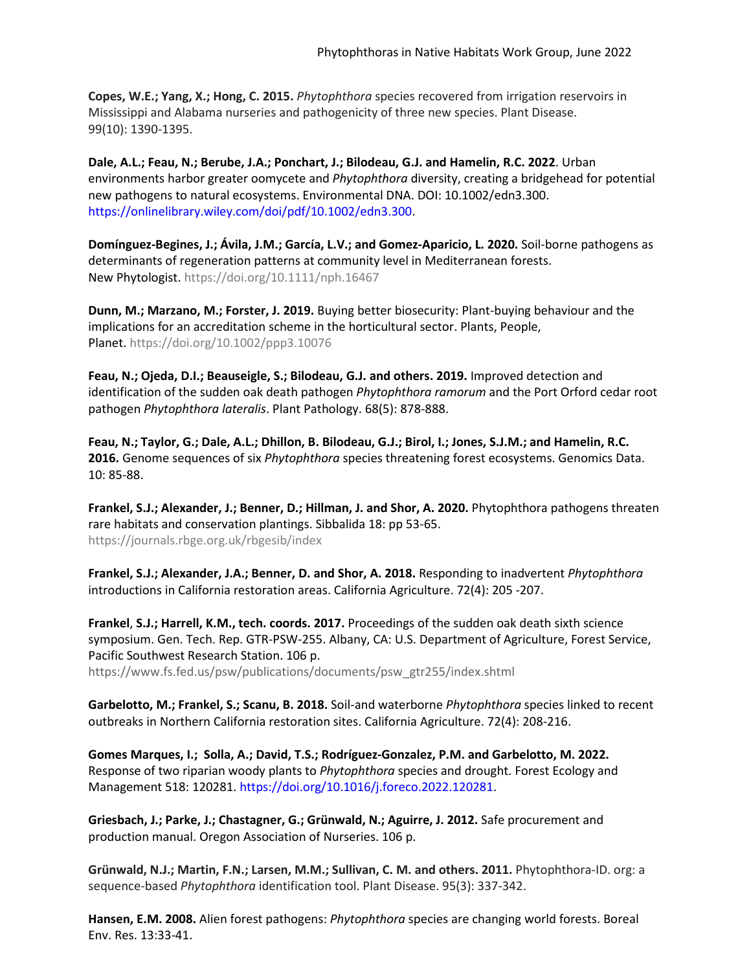**Copes, W.E.; Yang, X.; Hong, C. 2015.** *Phytophthora* species recovered from irrigation reservoirs in Mississippi and Alabama nurseries and pathogenicity of three new species. Plant Disease. 99(10): 1390-1395.

**Dale, A.L.; Feau, N.; Berube, J.A.; Ponchart, J.; Bilodeau, G.J. and Hamelin, R.C. 2022**. Urban environments harbor greater oomycete and *Phytophthora* diversity, creating a bridgehead for potential new pathogens to natural ecosystems. Environmental DNA. DOI: 10.1002/edn3.300. [https://onlinelibrary.wiley.com/doi/pdf/10.1002/edn3.300.](https://onlinelibrary.wiley.com/doi/pdf/10.1002/edn3.300)

**Domínguez-Begines, J.; Ávila, J.M.; García, L.V.; and Gomez-Aparicio, L. 2020.** Soil-borne pathogens as determinants of regeneration patterns at community level in Mediterranean forests. New Phytologist. https://doi.org/10.1111/nph.16467

**Dunn, M.; Marzano, M.; Forster, J. 2019.** Buying better biosecurity: Plant-buying behaviour and the implications for an accreditation scheme in the horticultural sector. Plants, People, Planet. https://doi.org/10.1002/ppp3.10076

**Feau, N.; Ojeda, D.I.; Beauseigle, S.; Bilodeau, G.J. and others. 2019.** Improved detection and identification of the sudden oak death pathogen *Phytophthora ramorum* and the Port Orford cedar root pathogen *Phytophthora lateralis*. Plant Pathology. 68(5): 878-888.

**Feau, N.; Taylor, G.; Dale, A.L.; Dhillon, B. Bilodeau, G.J.; Birol, I.; Jones, S.J.M.; and Hamelin, R.C. 2016.** Genome sequences of six *Phytophthora* species threatening forest ecosystems. Genomics Data. 10: 85-88.

**Frankel, S.J.; Alexander, J.; Benner, D.; Hillman, J. and Shor, A. 2020.** Phytophthora pathogens threaten rare habitats and conservation plantings. Sibbalida 18: pp 53-65. https://journals.rbge.org.uk/rbgesib/index

**Frankel, S.J.; Alexander, J.A.; Benner, D. and Shor, A. 2018.** Responding to inadvertent *Phytophthora* introductions in California restoration areas. California Agriculture. 72(4): 205 -207.

**Frankel**, **S.J.; Harrell, K.M., tech. coords. 2017.** Proceedings of the sudden oak death sixth science symposium. Gen. Tech. Rep. GTR-PSW-255. Albany, CA: U.S. Department of Agriculture, Forest Service, Pacific Southwest Research Station. 106 p.

[https://ww](http://www.fs.fed.us/psw/publications/documents/psw_gtr255/index.shtml)w.fs.f[ed.us/psw/publications/documents/psw\\_gtr255/index.shtml](http://www.fs.fed.us/psw/publications/documents/psw_gtr255/index.shtml)

**Garbelotto, M.; Frankel, S.; Scanu, B. 2018.** Soil-and waterborne *Phytophthora* species linked to recent outbreaks in Northern California restoration sites. California Agriculture. 72(4): 208-216.

**Gomes Marques, I.; Solla, A.; David, T.S.; Rodríguez-Gonzalez, P.M. and Garbelotto, M. 2022.** Response of two riparian woody plants to *Phytophthora* species and drought. Forest Ecology and Management 518: 120281[. https://doi.org/10.1016/j.foreco.2022.120281.](https://doi.org/10.1016/j.foreco.2022.120281)

**Griesbach, J.; Parke, J.; Chastagner, G.; Grünwald, N.; Aguirre, J. 2012.** Safe procurement and production manual. Oregon Association of Nurseries. 106 p.

**Grünwald, N.J.; Martin, F.N.; Larsen, M.M.; Sullivan, C. M. and others. 2011.** Phytophthora-ID. org: a sequence-based *Phytophthora* identification tool. Plant Disease. 95(3): 337-342.

**Hansen, E.M. 2008.** Alien forest pathogens: *Phytophthora* species are changing world forests. Boreal Env. Res. 13:33-41.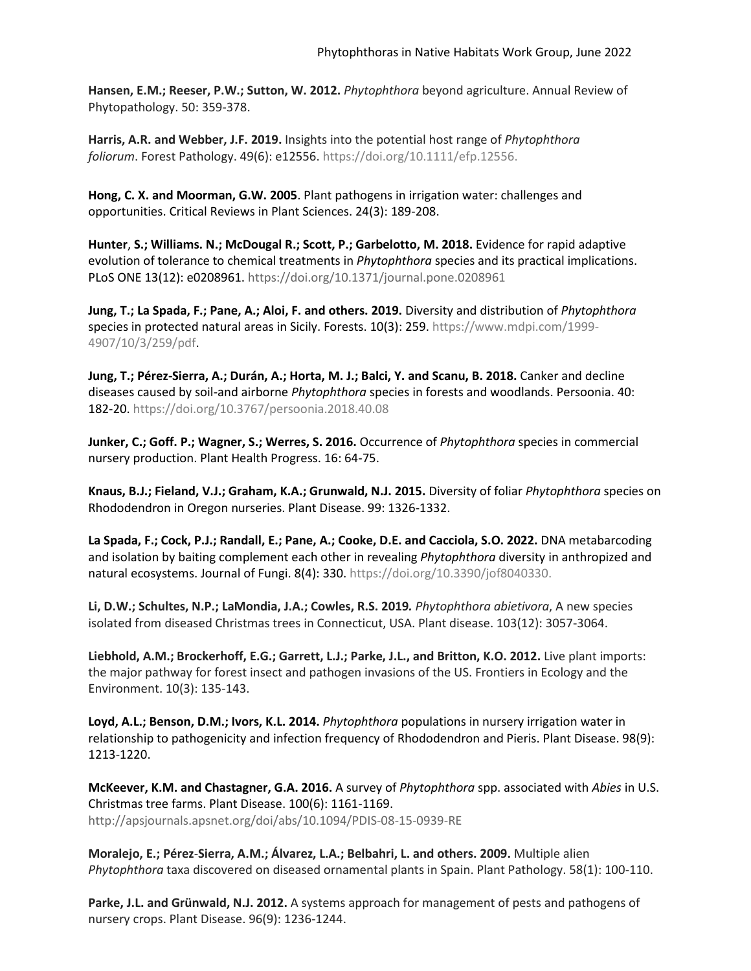**Hansen, E.M.; Reeser, P.W.; Sutton, W. 2012.** *Phytophthora* beyond agriculture. Annual Review of Phytopathology. 50: 359-378.

**Harris, A.R. and Webber, J.F. 2019.** Insights into the potential host range of *Phytophthora foliorum*. Forest Pathology. 49(6): e12556. [https://doi.org/10.1111/efp.12556.](https://doi.org/10.1111/efp.12556)

**Hong, C. X. and Moorman, G.W. 2005**. Plant pathogens in irrigation water: challenges and opportunities. Critical Reviews in Plant Sciences. 24(3): 189-208.

**Hunter**, **S.; Williams. N.; McDougal R.; Scott, P.; Garbelotto, M. 2018.** Evidence for rapid adaptive evolution of tolerance to chemical treatments in *Phytophthora* species and its practical implications. PLoS ONE 13(12): e0208961. https://doi.org/10.1371/journal.pone.0208961

**Jung, T.; La Spada, F.; Pane, A.; Aloi, F. and others. 2019.** Diversity and distribution of *Phytophthora*  species in protected natural areas in Sicily. Forests. 10(3): 259. https:/[/www.mdpi.com/1999-](http://www.mdpi.com/1999-) 4907/10/3/259/pdf.

**Jung, T.; Pérez-Sierra, A.; Durán, A.; Horta, M. J.; Balci, Y. and Scanu, B. 2018.** Canker and decline diseases caused by soil-and airborne *Phytophthora* species in forests and woodlands. Persoonia. 40: 182-20. https://doi.org/10.3767/persoonia.2018.40.08

**Junker, C.; Goff. P.; Wagner, S.; Werres, S. 2016.** Occurrence of *Phytophthora* species in commercial nursery production. Plant Health Progress. 16: 64-75.

**Knaus, B.J.; Fieland, V.J.; Graham, K.A.; Grunwald, N.J. 2015.** Diversity of foliar *Phytophthora* species on Rhododendron in Oregon nurseries. Plant Disease. 99: 1326-1332.

**La Spada, F.; Cock, P.J.; Randall, E.; Pane, A.; Cooke, D.E. and Cacciola, S.O. 2022.** DNA metabarcoding and isolation by baiting complement each other in revealing *Phytophthora* diversity in anthropized and natural ecosystems. Journal of Fungi. 8(4): 330. [https://doi.org/10.3390/jof8040330.](https://doi.org/10.3390/jof8040330)

**Li, D.W.; Schultes, N.P.; LaMondia, J.A.; Cowles, R.S. 2019***. Phytophthora abietivora*, A new species isolated from diseased Christmas trees in Connecticut, USA. Plant disease. 103(12): 3057-3064.

**Liebhold, A.M.; Brockerhoff, E.G.; Garrett, L.J.; Parke, J.L., and Britton, K.O. 2012.** Live plant imports: the major pathway for forest insect and pathogen invasions of the US. Frontiers in Ecology and the Environment. 10(3): 135-143.

**Loyd, A.L.; Benson, D.M.; Ivors, K.L. 2014.** *Phytophthora* populations in nursery irrigation water in relationship to pathogenicity and infection frequency of Rhododendron and Pieris. Plant Disease. 98(9): 1213-1220.

**McKeever, K.M. and Chastagner, G.A. 2016.** A survey of *Phytophthora* spp. associated with *Abies* in U.S. Christmas tree farms. Plant Disease. 100(6): 1161-1169. <http://apsjournals.apsnet.org/doi/abs/10.1094/PDIS-08-15-0939-RE>

**Moralejo, E.; Pérez**-**Sierra, A.M.; Álvarez, L.A.; Belbahri, L. and others. 2009.** Multiple alien *Phytophthora* taxa discovered on diseased ornamental plants in Spain. Plant Pathology. 58(1): 100-110.

**Parke, J.L. and Grünwald, N.J. 2012.** A systems approach for management of pests and pathogens of nursery crops. Plant Disease. 96(9): 1236-1244.